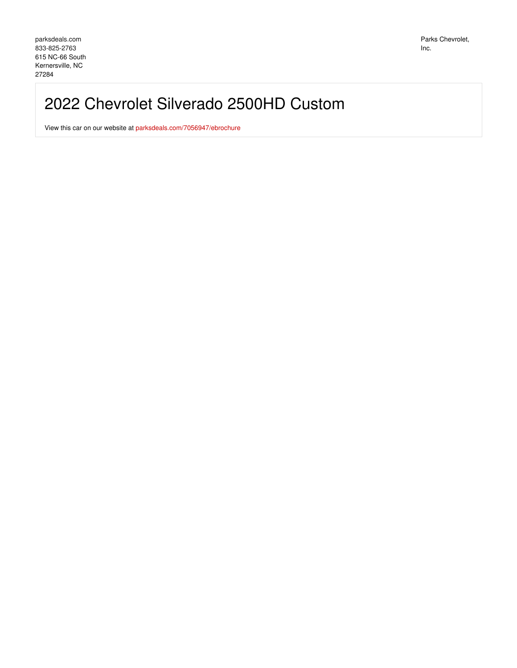# 2022 Chevrolet Silverado 2500HD Custom

View this car on our website at [parksdeals.com/7056947/ebrochure](file:///7056947/ebrochure)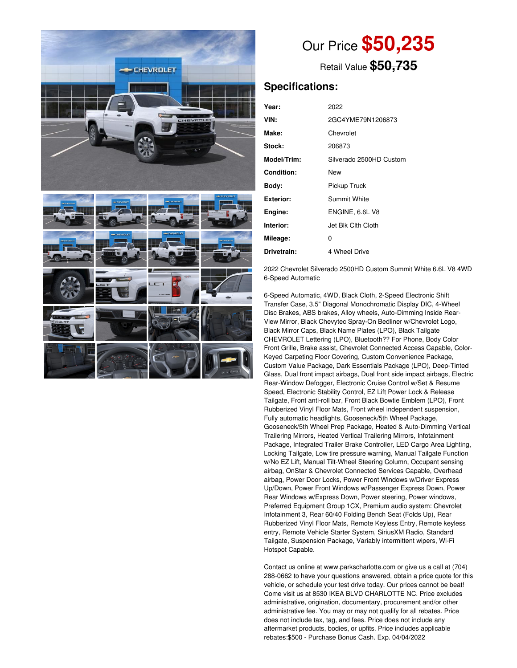

Our Price **\$50,235**

Retail Value **\$50,735**

## **Specifications:**

| Year:            | 2022                    |
|------------------|-------------------------|
| VIN:             | 2GC4YME79N1206873       |
| Make:            | Chevrolet               |
| Stock:           | 206873                  |
| Model/Trim:      | Silverado 2500HD Custom |
| Condition:       | New                     |
| Body:            | Pickup Truck            |
| <b>Exterior:</b> | Summit White            |
| Engine:          | ENGINE, 6.6L V8         |
| Interior:        | Jet Blk Clth Cloth      |
| Mileage:         | 0                       |
| Drivetrain:      | 4 Wheel Drive           |

2022 Chevrolet Silverado 2500HD Custom Summit White 6.6L V8 4WD 6-Speed Automatic

6-Speed Automatic, 4WD, Black Cloth, 2-Speed Electronic Shift Transfer Case, 3.5" Diagonal Monochromatic Display DIC, 4-Wheel Disc Brakes, ABS brakes, Alloy wheels, Auto-Dimming Inside Rear-View Mirror, Black Chevytec Spray-On Bedliner w/Chevrolet Logo, Black Mirror Caps, Black Name Plates (LPO), Black Tailgate CHEVROLET Lettering (LPO), Bluetooth?? For Phone, Body Color Front Grille, Brake assist, Chevrolet Connected Access Capable, Color-Keyed Carpeting Floor Covering, Custom Convenience Package, Custom Value Package, Dark Essentials Package (LPO), Deep-Tinted Glass, Dual front impact airbags, Dual front side impact airbags, Electric Rear-Window Defogger, Electronic Cruise Control w/Set & Resume Speed, Electronic Stability Control, EZ Lift Power Lock & Release Tailgate, Front anti-roll bar, Front Black Bowtie Emblem (LPO), Front Rubberized Vinyl Floor Mats, Front wheel independent suspension, Fully automatic headlights, Gooseneck/5th Wheel Package, Gooseneck/5th Wheel Prep Package, Heated & Auto-Dimming Vertical Trailering Mirrors, Heated Vertical Trailering Mirrors, Infotainment Package, Integrated Trailer Brake Controller, LED Cargo Area Lighting, Locking Tailgate, Low tire pressure warning, Manual Tailgate Function w/No EZ Lift, Manual Tilt-Wheel Steering Column, Occupant sensing airbag, OnStar & Chevrolet Connected Services Capable, Overhead airbag, Power Door Locks, Power Front Windows w/Driver Express Up/Down, Power Front Windows w/Passenger Express Down, Power Rear Windows w/Express Down, Power steering, Power windows, Preferred Equipment Group 1CX, Premium audio system: Chevrolet Infotainment 3, Rear 60/40 Folding Bench Seat (Folds Up), Rear Rubberized Vinyl Floor Mats, Remote Keyless Entry, Remote keyless entry, Remote Vehicle Starter System, SiriusXM Radio, Standard Tailgate, Suspension Package, Variably intermittent wipers, Wi-Fi Hotspot Capable.

Contact us online at www.parkscharlotte.com or give us a call at (704) 288-0662 to have your questions answered, obtain a price quote for this vehicle, or schedule your test drive today. Our prices cannot be beat! Come visit us at 8530 IKEA BLVD CHARLOTTE NC. Price excludes administrative, origination, documentary, procurement and/or other administrative fee. You may or may not qualify for all rebates. Price does not include tax, tag, and fees. Price does not include any aftermarket products, bodies, or upfits. Price includes applicable rebates:\$500 - Purchase Bonus Cash. Exp. 04/04/2022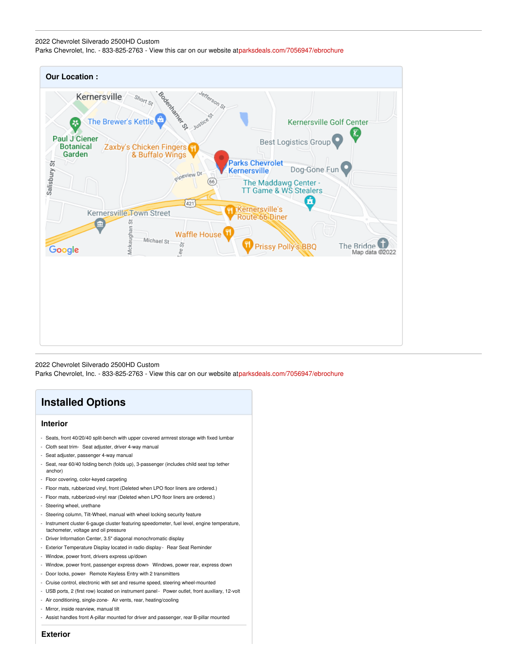#### 2022 Chevrolet Silverado 2500HD Custom

Parks Chevrolet, Inc. - 833-825-2763 - View this car on our website a[tparksdeals.com/7056947/ebrochure](file:///7056947/ebrochure)



2022 Chevrolet Silverado 2500HD Custom Parks Chevrolet, Inc. - 833-825-2763 - View this car on our website a[tparksdeals.com/7056947/ebrochure](file:///7056947/ebrochure)

# **Installed Options**

#### **Interior**

- Seats, front 40/20/40 split-bench with upper covered armrest storage with fixed lumbar
- Cloth seat trim- Seat adjuster, driver 4-way manual
- Seat adjuster, passenger 4-way manual
- Seat, rear 60/40 folding bench (folds up), 3-passenger (includes child seat top tether anchor)
- Floor covering, color-keyed carpeting
- Floor mats, rubberized vinyl, front (Deleted when LPO floor liners are ordered.)
- Floor mats, rubberized-vinyl rear (Deleted when LPO floor liners are ordered.)
- Steering wheel, urethane
- Steering column, Tilt-Wheel, manual with wheel locking security feature
- Instrument cluster 6-gauge cluster featuring speedometer, fuel level, engine temperature, tachometer, voltage and oil pressure
- Driver Information Center, 3.5" diagonal monochromatic display
- Exterior Temperature Display located in radio display Rear Seat Reminder
- Window, power front, drivers express up/down
- Window, power front, passenger express down- Windows, power rear, express down
- Door locks, power- Remote Keyless Entry with 2 transmitters
- Cruise control, electronic with set and resume speed, steering wheel-mounted
- USB ports, 2 (first row) located on instrument panel- Power outlet, front auxiliary, 12-volt
- Air conditioning, single-zone- Air vents, rear, heating/cooling
- Mirror, inside rearview, manual tilt
- Assist handles front A-pillar mounted for driver and passenger, rear B-pillar mounted

**Exterior**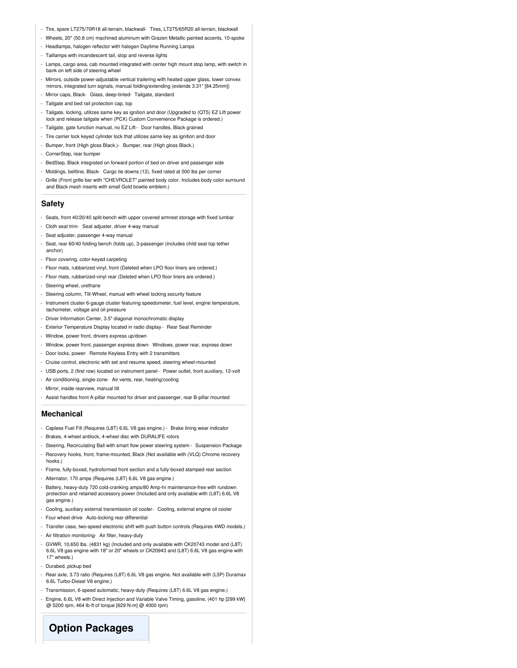- Tire, spare LT275/70R18 all-terrain, blackwall- Tires, LT275/65R20 all-terrain, blackwall
- Wheels, 20" (50.8 cm) machined aluminum with Grazen Metallic painted accents, 10-spoke
- Headlamps, halogen reflector with halogen Daytime Running Lamps
- Taillamps with incandescent tail, stop and reverse lights
- Lamps, cargo area, cab mounted integrated with center high mount stop lamp, with switch in bank on left side of steering wheel
- Mirrors, outside power-adjustable vertical trailering with heated upper glass, lower convex mirrors, integrated turn signals, manual folding/extending (extends 3.31" [84.25mm])
- Mirror caps, Black- Glass, deep-tinted- Tailgate, standard
- Tailgate and bed rail protection cap, top
- Tailgate, locking, utilizes same key as ignition and door (Upgraded to (QT5) EZ Lift power lock and release tailgate when (PCX) Custom Convenience Package is ordered.)
- Tailgate, gate function manual, no EZ Lift- Door handles, Black grained
- Tire carrier lock keyed cylinder lock that utilizes same key as ignition and door
- Bumper, front (High gloss Black.)- Bumper, rear (High gloss Black.)
- CornerStep, rear bumper
- BedStep, Black integrated on forward portion of bed on driver and passenger side
- Moldings, beltline, Black- Cargo tie downs (12), fixed rated at 500 lbs per corner
- Grille (Front grille bar with "CHEVROLET" painted body color. Includes body color surround and Black mesh inserts with small Gold bowtie emblem.)

#### **Safety**

- Seats, front 40/20/40 split-bench with upper covered armrest storage with fixed lumbar
- Cloth seat trim- Seat adjuster, driver 4-way manual
- Seat adjuster, passenger 4-way manual
- Seat, rear 60/40 folding bench (folds up), 3-passenger (includes child seat top tether anchor)
- Floor covering, color-keyed carpeting
- Floor mats, rubberized vinyl, front (Deleted when LPO floor liners are ordered.)
- Floor mats, rubberized-vinyl rear (Deleted when LPO floor liners are ordered.)
- Steering wheel, urethane
- Steering column, Tilt-Wheel, manual with wheel locking security feature
- Instrument cluster 6-gauge cluster featuring speedometer, fuel level, engine temperature, tachometer, voltage and oil pressure
- Driver Information Center, 3.5" diagonal monochromatic display
- Exterior Temperature Display located in radio display Rear Seat Reminder
- Window, power front, drivers express up/down
- Window, power front, passenger express down- Windows, power rear, express down
- Door locks, power- Remote Keyless Entry with 2 transmitters
- Cruise control, electronic with set and resume speed, steering wheel-mounted
- USB ports, 2 (first row) located on instrument panel- Power outlet, front auxiliary, 12-volt
- Air conditioning, single-zone- Air vents, rear, heating/cooling
- Mirror, inside rearview, manual tilt
- Assist handles front A-pillar mounted for driver and passenger, rear B-pillar mounted

#### **Mechanical**

- Capless Fuel Fill (Requires (L8T) 6.6L V8 gas engine.) Brake lining wear indicator
- Brakes, 4-wheel antilock, 4-wheel disc with DURALIFE rotors
- Steering, Recirculating Ball with smart flow power steering system Suspension Package
- Recovery hooks, front, frame-mounted, Black (Not available with (VLQ) Chrome recovery hooks.)
- Frame, fully-boxed, hydroformed front section and a fully-boxed stamped rear section
- Alternator, 170 amps (Requires (L8T) 6.6L V8 gas engine.)
- Battery, heavy-duty 720 cold-cranking amps/80 Amp-hr maintenance-free with rundown protection and retained accessory power (Included and only available with (L8T) 6.6L V8 gas engine.)
- Cooling, auxiliary external transmission oil cooler- Cooling, external engine oil cooler
- Four wheel drive- Auto-locking rear differential
- Transfer case, two-speed electronic shift with push button controls (Requires 4WD models.)
- Air filtration monitoring- Air filter, heavy-duty
- GVWR, 10,650 lbs. (4831 kg) (Included and only available with CK20743 model and (L8T) 6.6L V8 gas engine with 18" or 20" wheels or CK20943 and (L8T) 6.6L V8 gas engine with 17" wheels.)
- Durabed, pickup bed
- Rear axle, 3.73 ratio (Requires (L8T) 6.6L V8 gas engine. Not available with (L5P) Duramax 6.6L Turbo-Diesel V8 engine.)
- Transmission, 6-speed automatic, heavy-duty (Requires (L8T) 6.6L V8 gas engine.)
- Engine, 6.6L V8 with Direct Injection and Variable Valve Timing, gasoline, (401 hp [299 kW] @ 5200 rpm, 464 lb-ft of torque [629 N-m] @ 4000 rpm)

# **Option Packages**